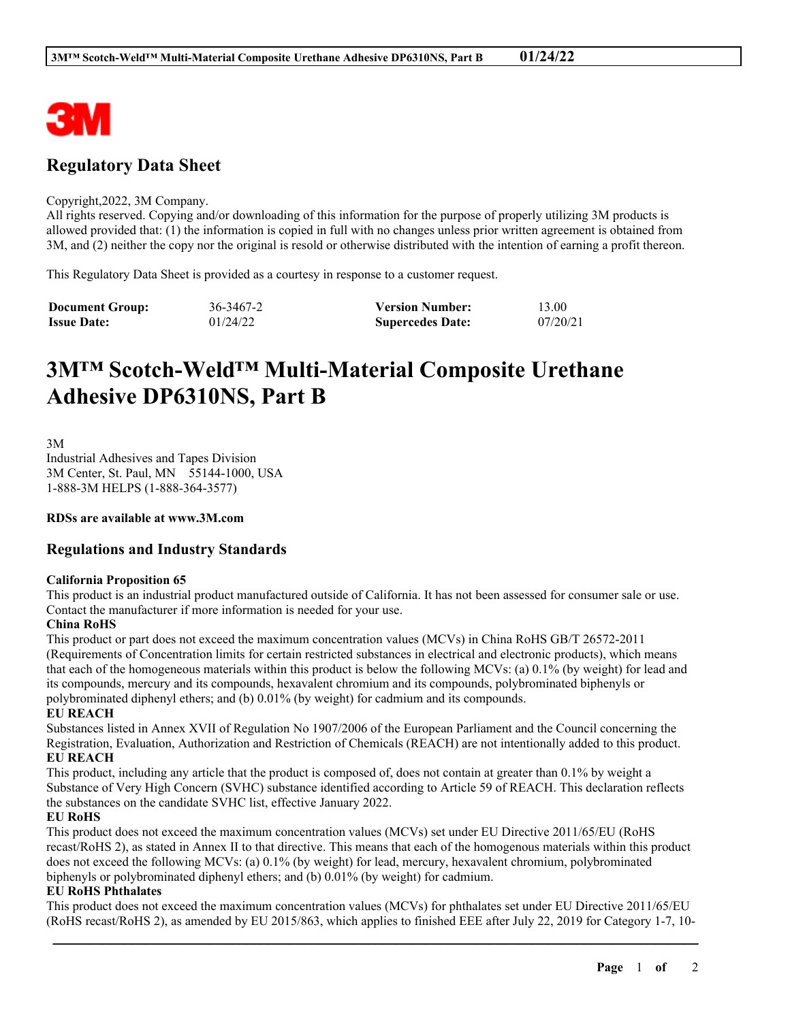

# **Regulatory Data Sheet**

#### Copyright,2022, 3M Company.

All rights reserved. Copying and/or downloading of this information for the purpose of properly utilizing 3M products is allowed provided that: (1) the information is copied in full with no changes unless prior written agreement is obtained from 3M, and (2) neither the copy nor the original is resold or otherwise distributed with the intention of earning a profit thereon.

This Regulatory Data Sheet is provided as a courtesy in response to a customer request.

| <b>Document Group:</b> | 36-3467-2 | <b>Version Number:</b>  | 13.00    |
|------------------------|-----------|-------------------------|----------|
| <b>Issue Date:</b>     | 01/24/22  | <b>Supercedes Date:</b> | 07/20/21 |

# **3M™ Scotch-Weld™ Multi-Material Composite Urethane Adhesive DP6310NS, Part B**

3M Industrial Adhesives and Tapes Division 3M Center, St. Paul, MN 55144-1000, USA 1-888-3M HELPS (1-888-364-3577)

**RDSs are available at www.3M.com**

# **Regulations and Industry Standards**

# **California Proposition 65**

This product is an industrial product manufactured outside of California. It has not been assessed for consumer sale or use. Contact the manufacturer if more information is needed for your use.

# **China RoHS**

This product or part does not exceed the maximum concentration values (MCVs) in China RoHS GB/T 26572-2011 (Requirements of Concentration limits for certain restricted substances in electrical and electronic products), which means that each of the homogeneous materials within this product is below the following MCVs: (a) 0.1% (by weight) for lead and its compounds, mercury and its compounds, hexavalent chromium and its compounds, polybrominated biphenyls or polybrominated diphenyl ethers; and (b) 0.01% (by weight) for cadmium and its compounds.

# **EU REACH**

Substances listed in Annex XVII of Regulation No 1907/2006 of the European Parliament and the Council concerning the Registration, Evaluation, Authorization and Restriction of Chemicals (REACH) are not intentionally added to this product. **EU REACH**

This product, including any article that the product is composed of, does not contain at greater than 0.1% by weight a Substance of Very High Concern (SVHC) substance identified according to Article 59 of REACH. This declaration reflects the substances on the candidate SVHC list, effective January 2022.

# **EU RoHS**

This product does not exceed the maximum concentration values (MCVs) set under EU Directive 2011/65/EU (RoHS recast/RoHS 2), as stated in Annex II to that directive. This means that each of the homogenous materials within this product does not exceed the following MCVs: (a) 0.1% (by weight) for lead, mercury, hexavalent chromium, polybrominated biphenyls or polybrominated diphenyl ethers; and (b) 0.01% (by weight) for cadmium.

# **EU RoHS Phthalates**

This product does not exceed the maximum concentration values (MCVs) for phthalates set under EU Directive 2011/65/EU (RoHS recast/RoHS 2), as amended by EU 2015/863, which applies to finished EEE after July 22, 2019 for Category 1-7, 10-

\_\_\_\_\_\_\_\_\_\_\_\_\_\_\_\_\_\_\_\_\_\_\_\_\_\_\_\_\_\_\_\_\_\_\_\_\_\_\_\_\_\_\_\_\_\_\_\_\_\_\_\_\_\_\_\_\_\_\_\_\_\_\_\_\_\_\_\_\_\_\_\_\_\_\_\_\_\_\_\_\_\_\_\_\_\_\_\_\_\_